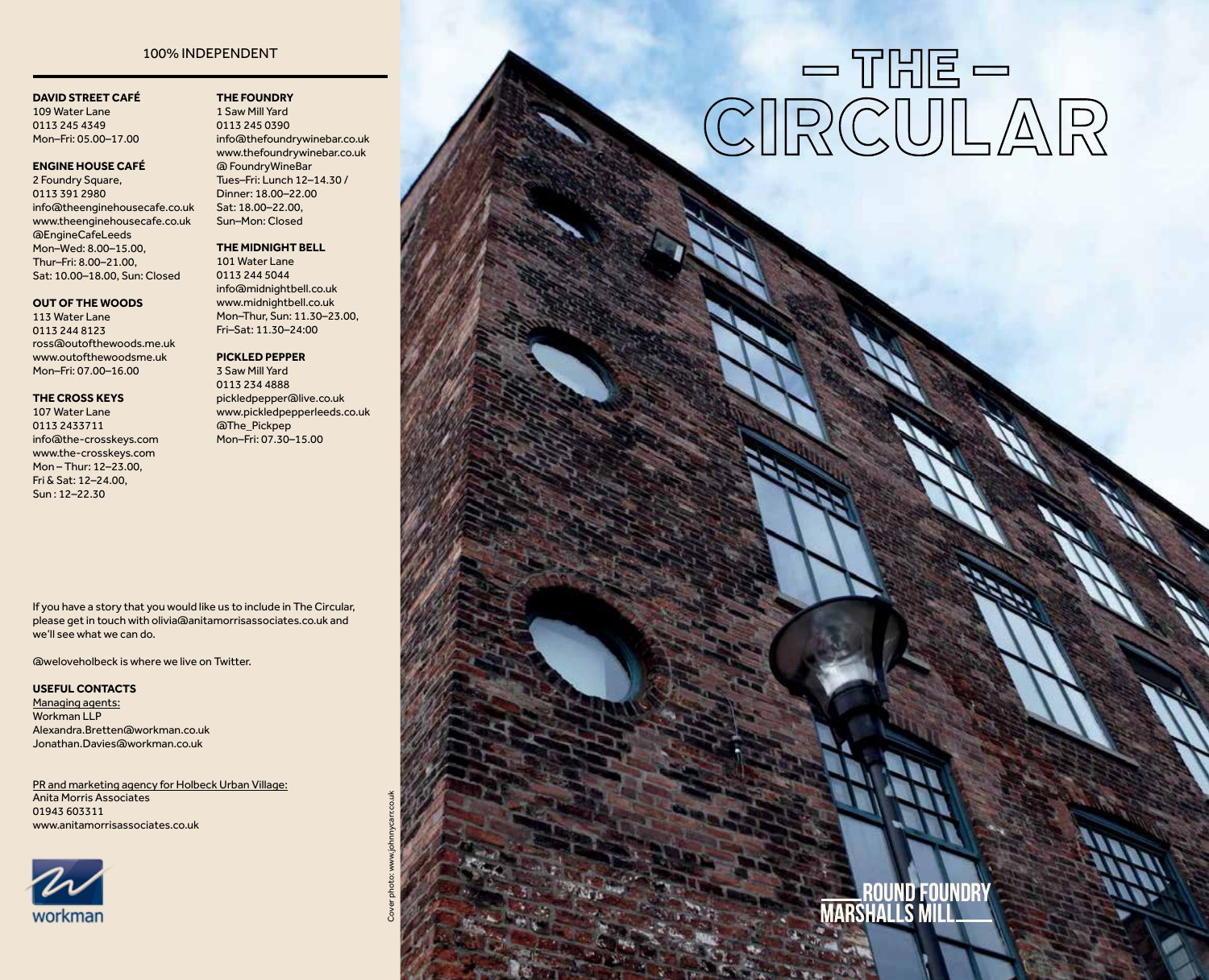#### 100% INDEPENDENT

#### **DAVID STREET CAFÉ**

109 Water Lane 0113 245 4349 Mon–Fri: 05.00–17.00

#### **ENGINE HOUSE CAFÉ**

2 Foundry Square, 0113 391 2980 info@theenginehousecafe.co.uk www.theenginehousecafe.co.uk @EngineCafeLeeds Mon–Wed: 8.00–15.00, Thur–Fri: 8.00–21.00, Sat: 10.00–18.00, Sun: Closed

#### **OUT OF THE WOODS**

113 Water Lane 0113 244 8123 ross@outofthewoods.me.uk www.outofthewoodsme.uk Mon–Fri: 07.00–16.00

#### **THE CROSS KEYS**

107 Water Lane 0113 2433711 info@the-crosskeys.com www.the-crosskeys.com Mon – Thur: 12–23.00, Fri & Sat: 12–24.00, Sun : 12–22.30

**THE FOUNDRY**  1 Saw Mill Yard 0113 245 0390 info@thefoundrywinebar.co.uk www.thefoundrywinebar.co.uk @ FoundryWineBar Tues–Fri: Lunch 12–14.30 / Dinner: 18.00–22.00 Sat: 18.00–22.00, Sun–Mon: Closed

#### **THE MIDNIGHT BELL**

101 Water Lane 0113 244 5044 info@midnightbell.co.uk www.midnightbell.co.uk Mon–Thur, Sun: 11.30–23.00, Fri–Sat: 11.30–24:00

#### **PICKLED PEPPER**

3 Saw Mill Yard 0113 234 4888 pickledpepper@live.co.uk www.pickledpepperleeds.co.uk @The\_Pickpep Mon–Fri: 07.30–15.00

Cover photo: www.johnnycarr.co.uk

If you have a story that you would like us to include in The Circular, please get in touch with olivia@anitamorrisassociates.co.uk and we'll see what we can do.

@weloveholbeck is where we live on Twitter.

#### **USEFUL CONTACTS**

Managing agents: Workman LLP Alexandra.Bretten@workman.co.uk Jonathan.Davies@workman.co.uk

PR and marketing agency for Holbeck Urban Village: Anita Morris Associates 01943 603311 www.anitamorrisassociates.co.uk



# $\text{CIRCULAR}$

# **\_\_\_\_ROUND FOUNDRY**<br>Marshalls Mill\_\_\_\_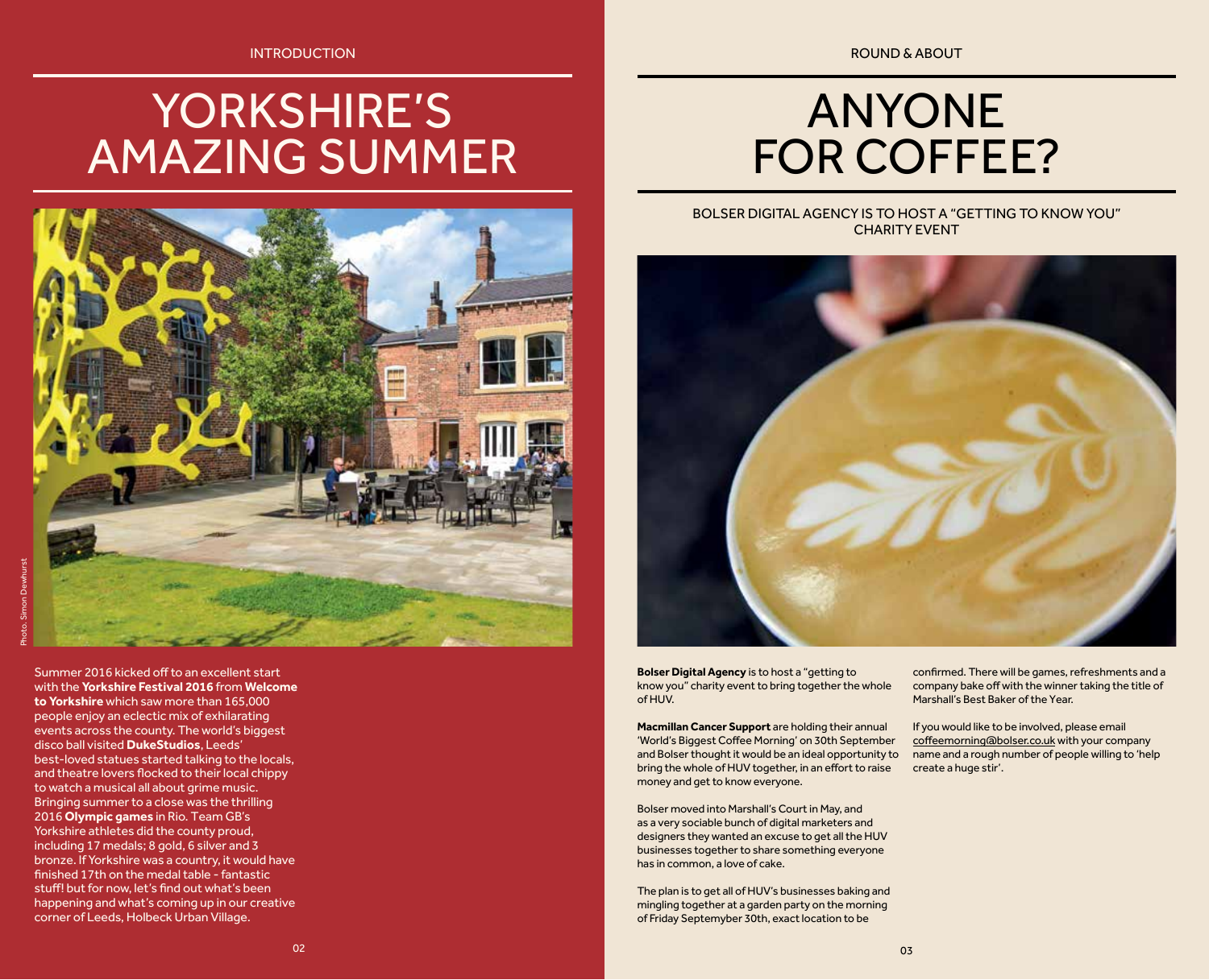INTRODUCTION

# YORKSHIRE'S AMAZING SUMMER



Summer 2016 kicked off to an excellent start with the **Yorkshire Festival 2016** from **Welcome to Yorkshire** which saw more than 165,000 people enjoy an eclectic mix of exhilarating events across the county. The world's biggest disco ball visited **DukeStudios**, Leeds' best-loved statues started talking to the locals, and theatre lovers flocked to their local chippy to watch a musical all about grime music. Bringing summer to a close was the thrilling 2016 **Olympic games** in Rio. Team GB's Yorkshire athletes did the county proud, including 17 medals; 8 gold, 6 silver and 3 bronze. If Yorkshire was a country, it would have finished 17th on the medal table - fantastic stuff! but for now, let's find out what's been happening and what's coming up in our creative corner of Leeds, Holbeck Urban Village.

ROUND & ABOUT

# ANYONE FOR COFFEE?

#### BOLSER DIGITAL AGENCY IS TO HOST A "GETTING TO KNOW YOU" CHARITY EVENT



**Bolser Digital Agency** is to host a "getting to know you" charity event to bring together the whole of HUV.

**Macmillan Cancer Support** are holding their annual 'World's Biggest Coffee Morning' on 30th September and Bolser thought it would be an ideal opportunity to bring the whole of HUV together, in an effort to raise money and get to know everyone.

Bolser moved into Marshall's Court in May, and as a very sociable bunch of digital marketers and designers they wanted an excuse to get all the HUV businesses together to share something everyone has in common, a love of cake.

The plan is to get all of HUV's businesses baking and mingling together at a garden party on the morning of Friday Septemyber 30th, exact location to be

confirmed. There will be games, refreshments and a company bake off with the winner taking the title of Marshall's Best Baker of the Year.

If you would like to be involved, please email coffeemorning@bolser.co.uk with your company name and a rough number of people willing to 'help create a huge stir'.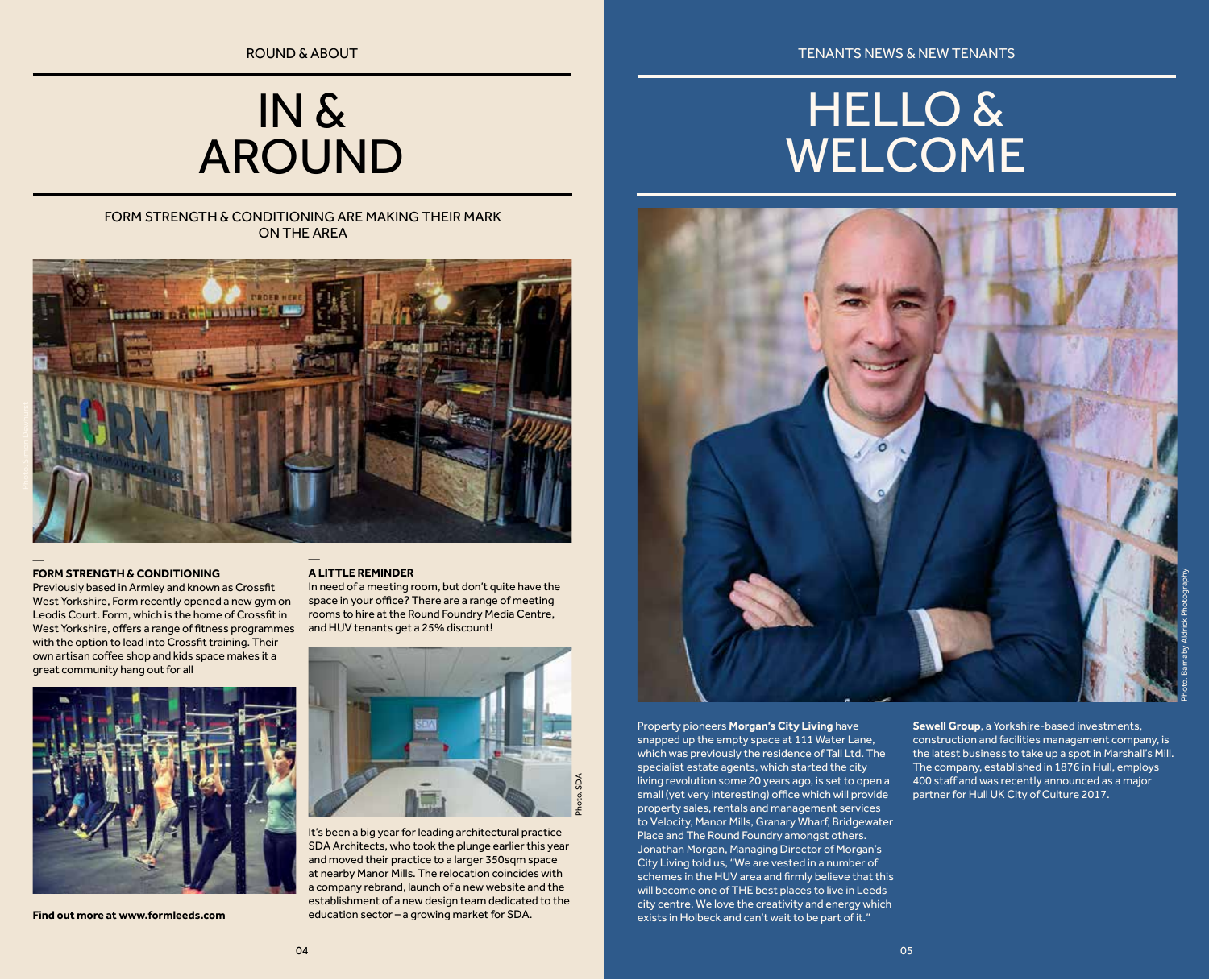## IN & AROUND

#### FORM STRENGTH & CONDITIONING ARE MAKING THEIR MARK ON THE AREA



#### **FORM STRENGTH & CONDITIONING**

Previously based in Armley and known as Crossfit West Yorkshire, Form recently opened a new gym on Leodis Court. Form, which is the home of Crossfit in West Yorkshire, offers a range of fitness programmes with the option to lead into Crossfit training. Their own artisan coffee shop and kids space makes it a great community hang out for all



**Find out more at www.formleeds.com**

#### **A LITTLE REMINDER**

In need of a meeting room, but don't quite have the space in your office? There are a range of meeting rooms to hire at the Round Foundry Media Centre, and HUV tenants get a 25% discount!



It's been a big year for leading architectural practice SDA Architects, who took the plunge earlier this year and moved their practice to a larger 350sqm space at nearby Manor Mills. The relocation coincides with a company rebrand, launch of a new website and the establishment of a new design team dedicated to the education sector – a growing market for SDA.

ROUND & ABOUT **TENANTS NEWS & NEW TENANTS** 

## HELLO & WELCOME



#### Property pioneers **Morgan's City Living** have

snapped up the empty space at 111 Water Lane, which was previously the residence of Tall Ltd. The specialist estate agents, which started the city living revolution some 20 years ago, is set to open a small (yet very interesting) office which will provide property sales, rentals and management services to Velocity, Manor Mills, Granary Wharf, Bridgewater Place and The Round Foundry amongst others. Jonathan Morgan, Managing Director of Morgan's City Living told us, "We are vested in a number of schemes in the HUV area and firmly believe that this will become one of THE best places to live in Leeds city centre. We love the creativity and energy which exists in Holbeck and can't wait to be part of it."

**Sewell Group**, a Yorkshire-based investments, construction and facilities management company, is the latest business to take up a spot in Marshall's Mill. The company, established in 1876 in Hull, employs 400 staff and was recently announced as a major partner for Hull UK City of Culture 2017.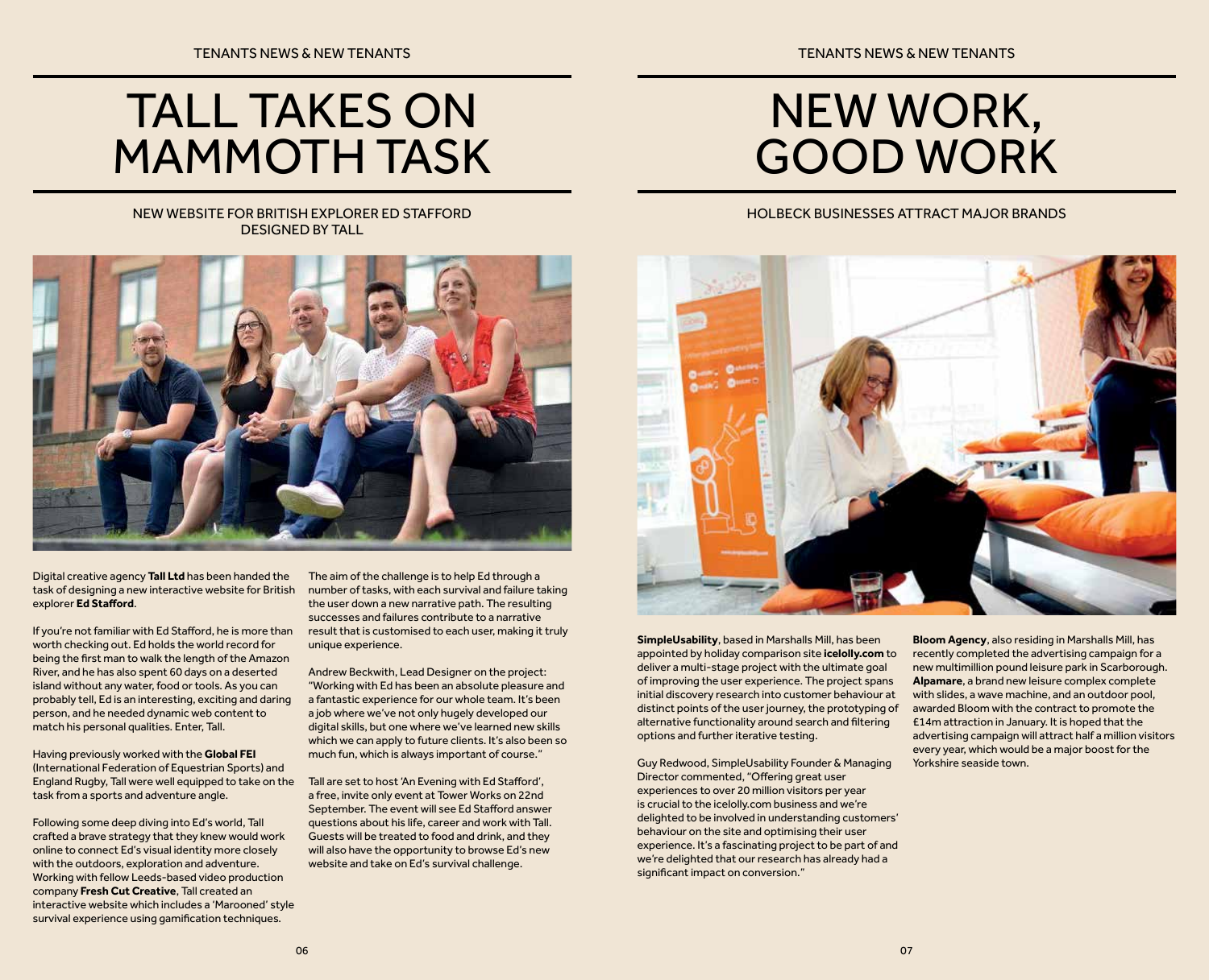# TALL TAKES ON MAMMOTH TASK

# NEW WORK, GOOD WORK

#### NEW WEBSITE FOR BRITISH EXPLORER ED STAFFORD DESIGNED BY TALL



Digital creative agency **Tall Ltd** has been handed the task of designing a new interactive website for British explorer **Ed Stafford**.

If you're not familiar with Ed Stafford, he is more than worth checking out. Ed holds the world record for being the first man to walk the length of the Amazon River, and he has also spent 60 days on a deserted island without any water, food or tools. As you can probably tell, Ed is an interesting, exciting and daring person, and he needed dynamic web content to match his personal qualities. Enter, Tall.

Having previously worked with the **Global FEI**  (International Federation of Equestrian Sports) and England Rugby, Tall were well equipped to take on the task from a sports and adventure angle.

Following some deep diving into Ed's world, Tall crafted a brave strategy that they knew would work online to connect Ed's visual identity more closely with the outdoors, exploration and adventure. Working with fellow Leeds-based video production company **Fresh Cut Creative**, Tall created an interactive website which includes a 'Marooned' style survival experience using gamification techniques.

The aim of the challenge is to help Ed through a number of tasks, with each survival and failure taking the user down a new narrative path. The resulting successes and failures contribute to a narrative result that is customised to each user, making it truly unique experience.

Andrew Beckwith, Lead Designer on the project: "Working with Ed has been an absolute pleasure and a fantastic experience for our whole team. It's been a job where we've not only hugely developed our digital skills, but one where we've learned new skills which we can apply to future clients. It's also been so much fun, which is always important of course."

Tall are set to host 'An Evening with Ed Stafford', a free, invite only event at Tower Works on 22nd September. The event will see Ed Stafford answer questions about his life, career and work with Tall. Guests will be treated to food and drink, and they will also have the opportunity to browse Ed's new website and take on Ed's survival challenge.

#### HOLBECK BUSINESSES ATTRACT MAJOR BRANDS



**SimpleUsability**, based in Marshalls Mill, has been appointed by holiday comparison site **icelolly.com** to deliver a multi-stage project with the ultimate goal of improving the user experience. The project spans initial discovery research into customer behaviour at distinct points of the user journey, the prototyping of alternative functionality around search and filtering options and further iterative testing.

Guy Redwood, SimpleUsability Founder & Managing Director commented, "Offering great user experiences to over 20 million visitors per year is crucial to the icelolly.com business and we're delighted to be involved in understanding customers' behaviour on the site and optimising their user experience. It's a fascinating project to be part of and we're delighted that our research has already had a significant impact on conversion."

**Bloom Agency**, also residing in Marshalls Mill, has recently completed the advertising campaign for a new multimillion pound leisure park in Scarborough. **Alpamare**, a brand new leisure complex complete with slides, a wave machine, and an outdoor pool, awarded Bloom with the contract to promote the £14m attraction in January. It is hoped that the advertising campaign will attract half a million visitors every year, which would be a major boost for the Yorkshire seaside town.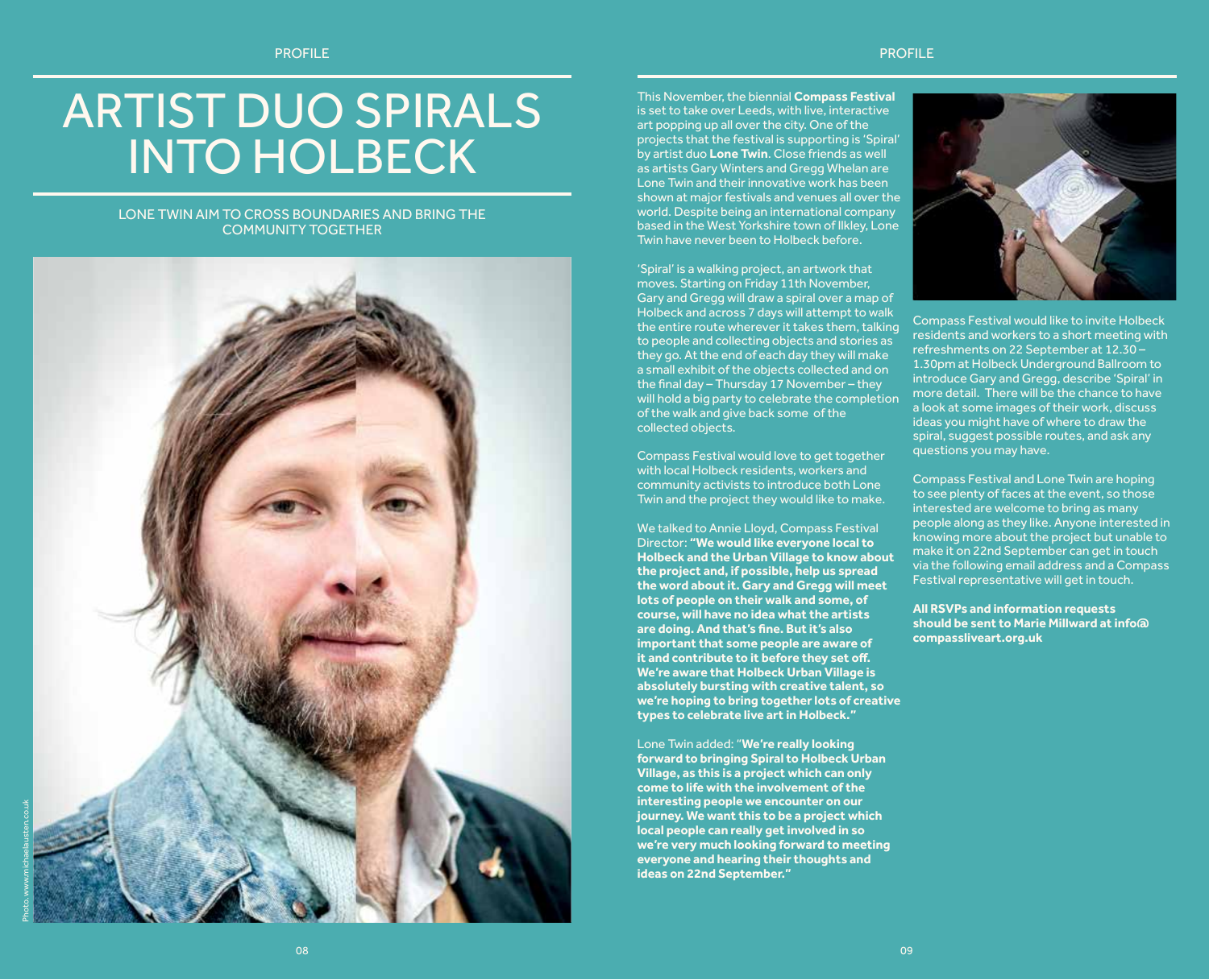# ARTIST DUO SPIRALS INTO HOLBECK

LONE TWIN AIM TO CROSS BOUNDARIES AND BRING THE COMMUNITY TOGETHER



This November, the biennial **Compass Festival** is set to take over Leeds, with live, interactive art popping up all over the city. One of the projects that the festival is supporting is 'Spiral' by artist duo **Lone Twin**. Close friends as well as artists Gary Winters and Gregg Whelan are Lone Twin and their innovative work has been shown at major festivals and venues all over the world. Despite being an international company based in the West Yorkshire town of Ilkley, Lone Twin have never been to Holbeck before.

'Spiral' is a walking project, an artwork that moves. Starting on Friday 11th November, Gary and Gregg will draw a spiral over a map of Holbeck and across 7 days will attempt to walk the entire route wherever it takes them, talking to people and collecting objects and stories as they go. At the end of each day they will make a small exhibit of the objects collected and on the final day – Thursday 17 November – they will hold a big party to celebrate the completion of the walk and give back some of the collected objects.

Compass Festival would love to get together with local Holbeck residents, workers and community activists to introduce both Lone Twin and the project they would like to make.

We talked to Annie Lloyd, Compass Festival Director: **"We would like everyone local to Holbeck and the Urban Village to know about the project and, if possible, help us spread the word about it. Gary and Gregg will meet lots of people on their walk and some, of course, will have no idea what the artists are doing. And that's fine. But it's also important that some people are aware of it and contribute to it before they set off. We're aware that Holbeck Urban Village is absolutely bursting with creative talent, so we're hoping to bring together lots of creative types to celebrate live art in Holbeck."**

Lone Twin added: "**We're really looking forward to bringing Spiral to Holbeck Urban Village, as this is a project which can only come to life with the involvement of the interesting people we encounter on our journey. We want this to be a project which local people can really get involved in so we're very much looking forward to meeting everyone and hearing their thoughts and ideas on 22nd September."**



Compass Festival would like to invite Holbeck residents and workers to a short meeting with refreshments on 22 September at 12.30 – 1.30pm at Holbeck Underground Ballroom to introduce Gary and Gregg, describe 'Spiral' in more detail. There will be the chance to have a look at some images of their work, discuss ideas you might have of where to draw the spiral, suggest possible routes, and ask any questions you may have.

Compass Festival and Lone Twin are hoping to see plenty of faces at the event, so those interested are welcome to bring as many people along as they like. Anyone interested in knowing more about the project but unable to make it on 22nd September can get in touch via the following email address and a Compass Festival representative will get in touch.

**All RSVPs and information requests should be sent to Marie Millward at info@ compassliveart.org.uk**